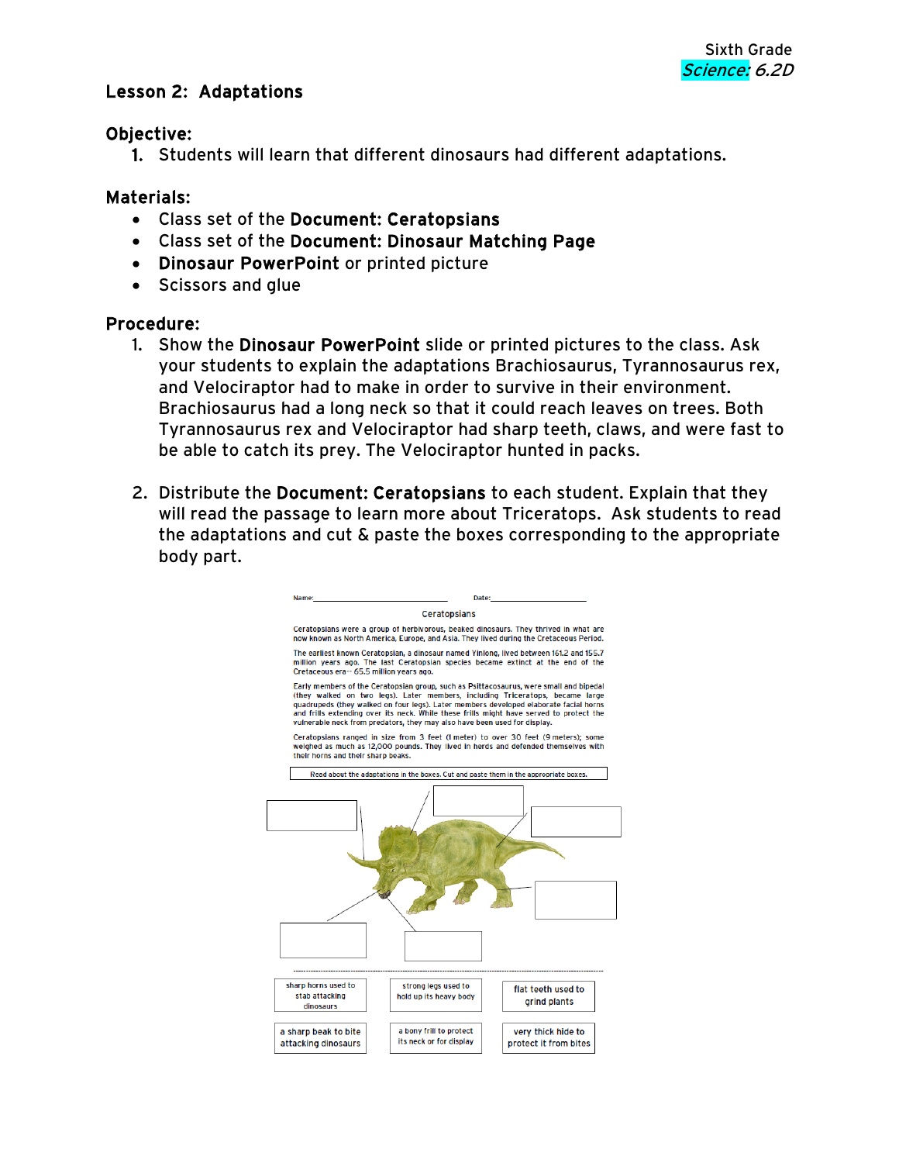# Lesson 2: Adaptations

#### Objective:

1. Students will learn that different dinosaurs had different adaptations.

## Materials:

- Class set of the Document: Ceratopsians
- Class set of the Document: Dinosaur Matching Page
- Dinosaur PowerPoint or printed picture
- Scissors and glue

#### Procedure:

- 1. Show the Dinosaur PowerPoint slide or printed pictures to the class. Ask your students to explain the adaptations Brachiosaurus, Tyrannosaurus rex, and Velociraptor had to make in order to survive in their environment. Brachiosaurus had a long neck so that it could reach leaves on trees. Both Tyrannosaurus rex and Velociraptor had sharp teeth, claws, and were fast to be able to catch its prey. The Velociraptor hunted in packs.
- 2. Distribute the Document: Ceratopsians to each student. Explain that they will read the passage to learn more about Triceratops. Ask students to read the adaptations and cut & paste the boxes corresponding to the appropriate body part.